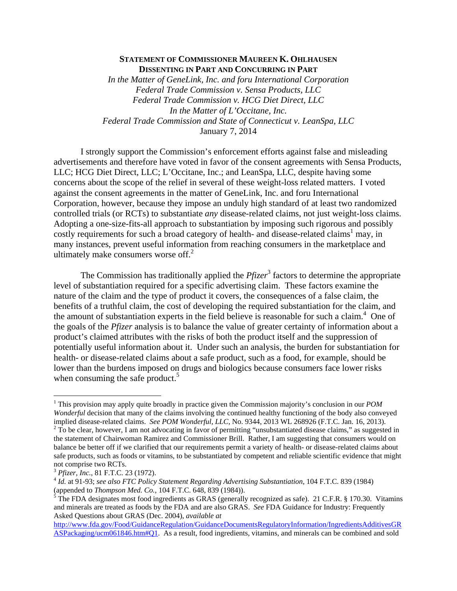## **STATEMENT OF COMMISSIONER MAUREEN K. OHLHAUSEN DISSENTING IN PART AND CONCURRING IN PART**

*In the Matter of GeneLink, Inc. and foru International Corporation Federal Trade Commission v. Sensa Products, LLC Federal Trade Commission v. HCG Diet Direct, LLC In the Matter of L'Occitane, Inc. Federal Trade Commission and State of Connecticut v. LeanSpa, LLC*  January 7, 2014

I strongly support the Commission's enforcement efforts against false and misleading advertisements and therefore have voted in favor of the consent agreements with Sensa Products, LLC; HCG Diet Direct, LLC; L'Occitane, Inc.; and LeanSpa, LLC, despite having some concerns about the scope of the relief in several of these weight-loss related matters. I voted against the consent agreements in the matter of GeneLink, Inc. and foru International Corporation, however, because they impose an unduly high standard of at least two randomized controlled trials (or RCTs) to substantiate *any* disease-related claims, not just weight-loss claims. Adopting a one-size-fits-all approach to substantiation by imposing such rigorous and possibly costly requirements for such a broad category of health- and disease-related claims<sup>1</sup> may, in many instances, prevent useful information from reaching consumers in the marketplace and ultimately make consumers worse off. $2$ 

The Commission has traditionally applied the  $Pfizer^3$  factors to determine the appropriate level of substantiation required for a specific advertising claim. These factors examine the nature of the claim and the type of product it covers, the consequences of a false claim, the benefits of a truthful claim, the cost of developing the required substantiation for the claim, and the amount of substantiation experts in the field believe is reasonable for such a claim.<sup>4</sup> One of the goals of the *Pfizer* analysis is to balance the value of greater certainty of information about a product's claimed attributes with the risks of both the product itself and the suppression of potentially useful information about it. Under such an analysis, the burden for substantiation for health- or disease-related claims about a safe product, such as a food, for example, should be lower than the burdens imposed on drugs and biologics because consumers face lower risks when consuming the safe product. $5$ 

 $\overline{a}$ 

<sup>&</sup>lt;sup>1</sup> This provision may apply quite broadly in practice given the Commission majority's conclusion in our *POM Wonderful* decision that many of the claims involving the continued healthy functioning of the body also conveyed implied disease-related claims. *See POM Wonderful, LLC*, No. 9344, 2013 WL 268926 (F.T.C. Jan. 16, 2013).<br><sup>2</sup> To be clear, however, I am not advocating in favor of permitting "unsubstantiated disease claims," as suggested the statement of Chairwoman Ramirez and Commissioner Brill. Rather, I am suggesting that consumers would on balance be better off if we clarified that our requirements permit a variety of health- or disease-related claims about

safe products, such as foods or vitamins, to be substantiated by competent and reliable scientific evidence that might not comprise two RCTs.

<sup>3</sup> *Pfizer, Inc.*, 81 F.T.C. 23 (1972). 4 *Id.* at 91-93; *see also FTC Policy Statement Regarding Advertising Substantiation,* 104 F.T.C. 839 (1984) (appended to *Thompson Med. Co.*, 104 F.T.C. 648, 839 (1984)).

 $5$  The FDA designates most food ingredients as GRAS (generally recognized as safe). 21 C.F.R. § 170.30. Vitamins and minerals are treated as foods by the FDA and are also GRAS. *See* FDA Guidance for Industry: Frequently Asked Questions about GRAS (Dec. 2004), *available at* 

http://www.fda.gov/Food/GuidanceRegulation/GuidanceDocumentsRegulatoryInformation/IngredientsAdditivesGR ASPackaging/ucm061846.htm#Q1. As a result, food ingredients, vitamins, and minerals can be combined and sold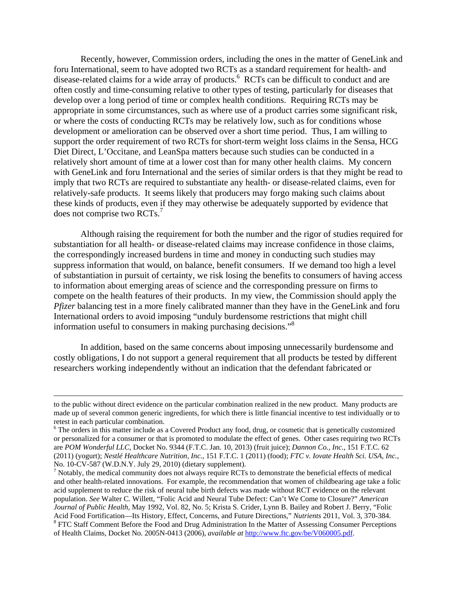Recently, however, Commission orders, including the ones in the matter of GeneLink and foru International, seem to have adopted two RCTs as a standard requirement for health- and disease-related claims for a wide array of products.<sup>6</sup> RCTs can be difficult to conduct and are often costly and time-consuming relative to other types of testing, particularly for diseases that develop over a long period of time or complex health conditions. Requiring RCTs may be appropriate in some circumstances, such as where use of a product carries some significant risk, or where the costs of conducting RCTs may be relatively low, such as for conditions whose development or amelioration can be observed over a short time period. Thus, I am willing to support the order requirement of two RCTs for short-term weight loss claims in the Sensa, HCG Diet Direct, L'Occitane, and LeanSpa matters because such studies can be conducted in a relatively short amount of time at a lower cost than for many other health claims. My concern with GeneLink and foru International and the series of similar orders is that they might be read to imply that two RCTs are required to substantiate any health- or disease-related claims, even for relatively-safe products. It seems likely that producers may forgo making such claims about these kinds of products, even if they may otherwise be adequately supported by evidence that does not comprise two RCTs.<sup>7</sup>

Although raising the requirement for both the number and the rigor of studies required for substantiation for all health- or disease-related claims may increase confidence in those claims, the correspondingly increased burdens in time and money in conducting such studies may suppress information that would, on balance, benefit consumers. If we demand too high a level of substantiation in pursuit of certainty, we risk losing the benefits to consumers of having access to information about emerging areas of science and the corresponding pressure on firms to compete on the health features of their products. In my view, the Commission should apply the *Pfizer* balancing test in a more finely calibrated manner than they have in the GeneLink and foru International orders to avoid imposing "unduly burdensome restrictions that might chill information useful to consumers in making purchasing decisions."8

In addition, based on the same concerns about imposing unnecessarily burdensome and costly obligations, I do not support a general requirement that all products be tested by different researchers working independently without an indication that the defendant fabricated or

to the public without direct evidence on the particular combination realized in the new product. Many products are made up of several common generic ingredients, for which there is little financial incentive to test individually or to retest in each particular combination.

<sup>&</sup>lt;sup>6</sup> The orders in this matter include as a Covered Product any food, drug, or cosmetic that is genetically customized or personalized for a consumer or that is promoted to modulate the effect of genes. Other cases requiring two RCTs are *POM Wonderful LLC*, Docket No. 9344 (F.T.C. Jan. 10, 2013) (fruit juice); *Dannon Co., Inc.*, 151 F.T.C. 62 (2011) (yogurt); *Nestlé Healthcare Nutrition, Inc.*, 151 F.T.C. 1 (2011) (food); *FTC v. Iovate Health Sci. USA, Inc.*, No. 10-CV-587 (W.D.N.Y. July 29, 2010) (dietary supplement). 7

 $\frac{1}{1}$  Notably, the medical community does not always require RCTs to demonstrate the beneficial effects of medical and other health-related innovations. For example, the recommendation that women of childbearing age take a folic acid supplement to reduce the risk of neural tube birth defects was made without RCT evidence on the relevant population. *See* Walter C. Willett, "Folic Acid and Neural Tube Defect: Can't We Come to Closure?" *American Journal of Public Health*, May 1992, Vol. 82, No. 5; Krista S. Crider, Lynn B. Bailey and Robert J. Berry, "Folic Acid Food Fortification—Its History, Effect, Concerns, and Future Directions," *Nutrients* 2011, Vol. 3, 370-384. 8 <sup>8</sup> FTC Staff Comment Before the Food and Drug Administration In the Matter of Assessing Consumer Perceptions of Health Claims, Docket No. 2005N-0413 (2006), *available at* http://www.ftc.gov/be/V060005.pdf.